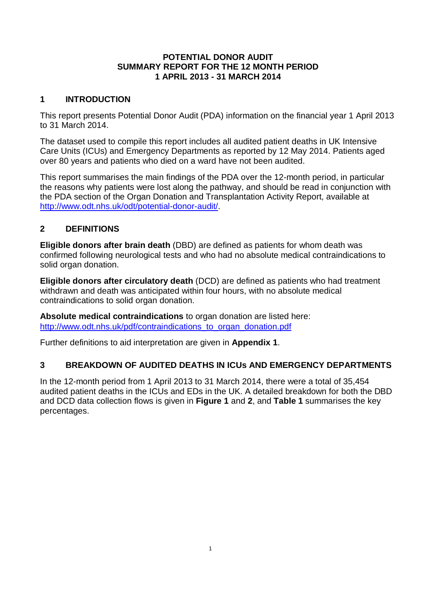## **POTENTIAL DONOR AUDIT SUMMARY REPORT FOR THE 12 MONTH PERIOD 1 APRIL 2013 - 31 MARCH 2014**

## **1 INTRODUCTION**

This report presents Potential Donor Audit (PDA) information on the financial year 1 April 2013 to 31 March 2014.

The dataset used to compile this report includes all audited patient deaths in UK Intensive Care Units (ICUs) and Emergency Departments as reported by 12 May 2014. Patients aged over 80 years and patients who died on a ward have not been audited.

This report summarises the main findings of the PDA over the 12-month period, in particular the reasons why patients were lost along the pathway, and should be read in conjunction with the PDA section of the Organ Donation and Transplantation Activity Report, available at <http://www.odt.nhs.uk/odt/potential-donor-audit/>.

## **2 DEFINITIONS**

**Eligible donors after brain death** (DBD) are defined as patients for whom death was confirmed following neurological tests and who had no absolute medical contraindications to solid organ donation.

**Eligible donors after circulatory death** (DCD) are defined as patients who had treatment withdrawn and death was anticipated within four hours, with no absolute medical contraindications to solid organ donation.

**Absolute medical contraindications** to organ donation are listed here: [http://www.odt.nhs.uk/pdf/contraindications\\_to\\_organ\\_donation.pdf](http://www.odt.nhs.uk/pdf/contraindications_to_organ_donation.pdf)

Further definitions to aid interpretation are given in **Appendix 1**.

## **3 BREAKDOWN OF AUDITED DEATHS IN ICUs AND EMERGENCY DEPARTMENTS**

In the 12-month period from 1 April 2013 to 31 March 2014, there were a total of 35,454 audited patient deaths in the ICUs and EDs in the UK. A detailed breakdown for both the DBD and DCD data collection flows is given in **Figure 1** and **2**, and **Table 1** summarises the key percentages.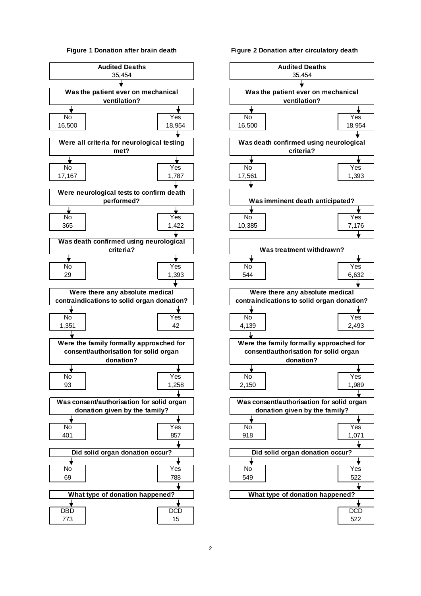#### **Figure 1 Donation after brain death**



#### **Figure 2 Donation after circulatory death**

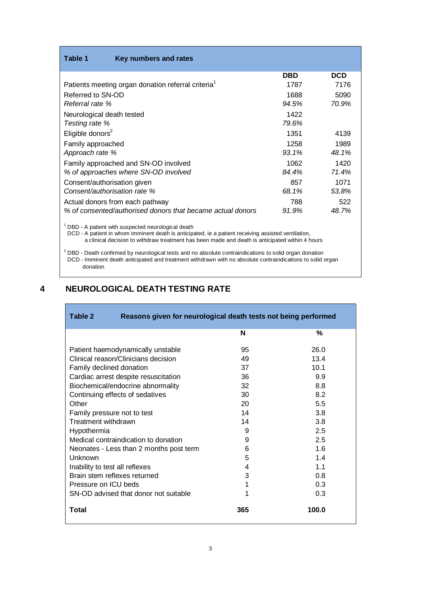| Key numbers and rates<br>Table 1                               |            |            |
|----------------------------------------------------------------|------------|------------|
|                                                                | <b>DBD</b> | <b>DCD</b> |
| Patients meeting organ donation referral criteria <sup>1</sup> | 1787       | 7176       |
| Referred to SN-OD                                              | 1688       | 5090       |
| Referral rate %                                                | 94.5%      | 70.9%      |
| Neurological death tested                                      | 1422       |            |
| Testing rate %                                                 | 79.6%      |            |
| Eligible donors <sup>2</sup>                                   | 1351       | 4139       |
| Family approached                                              | 1258       | 1989       |
| Approach rate %                                                | 93.1%      | 48.1%      |
| Family approached and SN-OD involved                           | 1062       | 1420       |
| % of approaches where SN-OD involved                           | 84.4%      | 71.4%      |
| Consent/authorisation given                                    | 857        | 1071       |
| Consent/authorisation rate %                                   | 68.1%      | 53.8%      |
| Actual donors from each pathway                                | 788        | 522        |
| % of consented/authorised donors that became actual donors     | 91.9%      | 48.7%      |

 $1$  DBD - A patient with suspected neurological death

DCD - A patient in whom imminent death is anticipated, ie a patient receiving assisted ventilation, a clinical decision to withdraw treatment has been made and death is anticipated within 4 hours

 $^2$  DBD - Death confirmed by neurological tests and no absolute contraindications to solid organ donation <sup>2</sup> DCD - Imminent death anticipated and treatment withdrawn with no absolute contraindications to solid organ donation

### **4 NEUROLOGICAL DEATH TESTING RATE**

| Table 2<br>Reasons given for neurological death tests not being performed |     |       |  |
|---------------------------------------------------------------------------|-----|-------|--|
|                                                                           | N   | %     |  |
| Patient haemodynamically unstable                                         | 95  | 26.0  |  |
| Clinical reason/Clinicians decision                                       | 49  | 13.4  |  |
| Family declined donation                                                  | 37  | 10.1  |  |
| Cardiac arrest despite resuscitation                                      | 36  | 9.9   |  |
| Biochemical/endocrine abnormality                                         | 32  | 8.8   |  |
| Continuing effects of sedatives                                           | 30  | 8.2   |  |
| Other                                                                     | 20  | 5.5   |  |
| Family pressure not to test                                               | 14  | 3.8   |  |
| Treatment withdrawn                                                       | 14  | 3.8   |  |
| Hypothermia                                                               | 9   | 2.5   |  |
| Medical contraindication to donation                                      | 9   | 2.5   |  |
| Neonates - Less than 2 months post term                                   | 6   | 1.6   |  |
| Unknown                                                                   | 5   | 1.4   |  |
| Inability to test all reflexes                                            | 4   | 1.1   |  |
| Brain stem reflexes returned                                              | 3   | 0.8   |  |
| Pressure on ICU beds                                                      | 1   | 0.3   |  |
| SN-OD advised that donor not suitable                                     | 1   | 0.3   |  |
| Total                                                                     | 365 | 100.0 |  |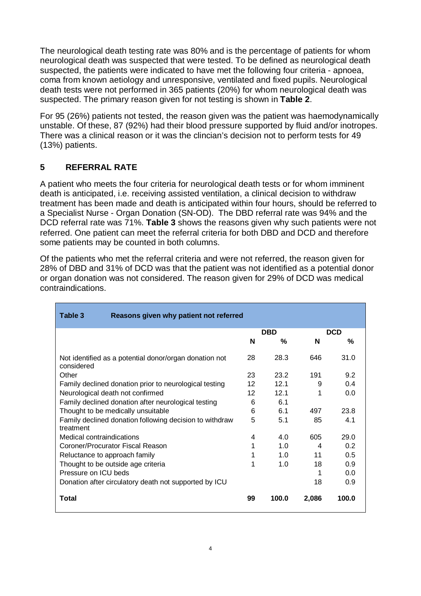The neurological death testing rate was 80% and is the percentage of patients for whom neurological death was suspected that were tested. To be defined as neurological death suspected, the patients were indicated to have met the following four criteria - apnoea, coma from known aetiology and unresponsive, ventilated and fixed pupils. Neurological death tests were not performed in 365 patients (20%) for whom neurological death was suspected. The primary reason given for not testing is shown in **Table 2**.

For 95 (26%) patients not tested, the reason given was the patient was haemodynamically unstable. Of these, 87 (92%) had their blood pressure supported by fluid and/or inotropes. There was a clinical reason or it was the clincian's decision not to perform tests for 49 (13%) patients.

## **5 REFERRAL RATE**

A patient who meets the four criteria for neurological death tests or for whom imminent death is anticipated, i.e. receiving assisted ventilation, a clinical decision to withdraw treatment has been made and death is anticipated within four hours, should be referred to a Specialist Nurse - Organ Donation (SN-OD). The DBD referral rate was 94% and the DCD referral rate was 71%. **Table 3** shows the reasons given why such patients were not referred. One patient can meet the referral criteria for both DBD and DCD and therefore some patients may be counted in both columns.

Of the patients who met the referral criteria and were not referred, the reason given for 28% of DBD and 31% of DCD was that the patient was not identified as a potential donor or organ donation was not considered. The reason given for 29% of DCD was medical contraindications.

| Reasons given why patient not referred<br>Table 3                    |    |            |       |            |
|----------------------------------------------------------------------|----|------------|-------|------------|
|                                                                      |    | <b>DBD</b> |       | <b>DCD</b> |
|                                                                      | N  | %          | N     | %          |
| Not identified as a potential donor/organ donation not<br>considered | 28 | 28.3       | 646   | 31.0       |
| Other                                                                | 23 | 23.2       | 191   | 9.2        |
| Family declined donation prior to neurological testing               | 12 | 12.1       | 9     | 0.4        |
| Neurological death not confirmed                                     | 12 | 121        | 1     | 0.0        |
| Family declined donation after neurological testing                  | 6  | 6.1        |       |            |
| Thought to be medically unsuitable                                   | 6  | 61         | 497   | 23.8       |
| Family declined donation following decision to withdraw<br>treatment | 5  | 5.1        | 85    | 4.1        |
| Medical contraindications                                            | 4  | 4.0        | 605   | 29.0       |
| Coroner/Procurator Fiscal Reason                                     | 1  | 1.0        | 4     | 0.2        |
| Reluctance to approach family                                        | 1  | 1.0        | 11    | 0.5        |
| Thought to be outside age criteria                                   | 1  | 1.0        | 18    | 0.9        |
| Pressure on ICU beds                                                 |    |            | 1     | 0.0        |
| Donation after circulatory death not supported by ICU                |    |            | 18    | 0.9        |
| Total                                                                | 99 | 100.0      | 2,086 | 100.0      |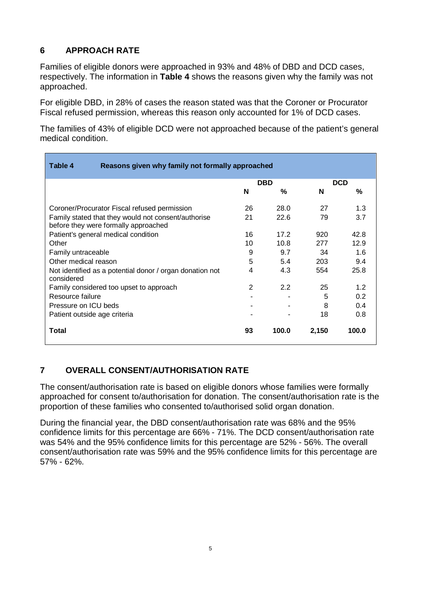## **6 APPROACH RATE**

Families of eligible donors were approached in 93% and 48% of DBD and DCD cases, respectively. The information in **Table 4** shows the reasons given why the family was not approached.

For eligible DBD, in 28% of cases the reason stated was that the Coroner or Procurator Fiscal refused permission, whereas this reason only accounted for 1% of DCD cases.

The families of 43% of eligible DCD were not approached because of the patient's general medical condition.

| Table 4<br>Reasons given why family not formally approached                                 |    |            |       |            |  |
|---------------------------------------------------------------------------------------------|----|------------|-------|------------|--|
|                                                                                             |    | <b>DBD</b> |       | <b>DCD</b> |  |
|                                                                                             | N  | %          | N     | %          |  |
| Coroner/Procurator Fiscal refused permission                                                | 26 | 28.0       | 27    | 1.3        |  |
| Family stated that they would not consent/authorise<br>before they were formally approached | 21 | 22.6       | 79    | 3.7        |  |
| Patient's general medical condition                                                         | 16 | 17.2       | 920   | 42.8       |  |
| Other                                                                                       | 10 | 10.8       | 277   | 12.9       |  |
| Family untraceable                                                                          | 9  | 9.7        | 34    | 1.6        |  |
| Other medical reason                                                                        | 5  | 5.4        | 203   | 9.4        |  |
| Not identified as a potential donor / organ donation not<br>considered                      | 4  | 4.3        | 554   | 25.8       |  |
| Family considered too upset to approach                                                     | 2  | 2.2        | 25    | 1.2        |  |
| Resource failure                                                                            |    |            | 5     | 0.2        |  |
| Pressure on ICU beds                                                                        |    |            | 8     | 0.4        |  |
| Patient outside age criteria                                                                |    |            | 18    | 0.8        |  |
| Total                                                                                       | 93 | 100.0      | 2,150 | 100.0      |  |

## **7 OVERALL CONSENT/AUTHORISATION RATE**

The consent/authorisation rate is based on eligible donors whose families were formally approached for consent to/authorisation for donation. The consent/authorisation rate is the proportion of these families who consented to/authorised solid organ donation.

During the financial year, the DBD consent/authorisation rate was 68% and the 95% confidence limits for this percentage are 66% - 71%. The DCD consent/authorisation rate was 54% and the 95% confidence limits for this percentage are 52% - 56%. The overall consent/authorisation rate was 59% and the 95% confidence limits for this percentage are 57% - 62%.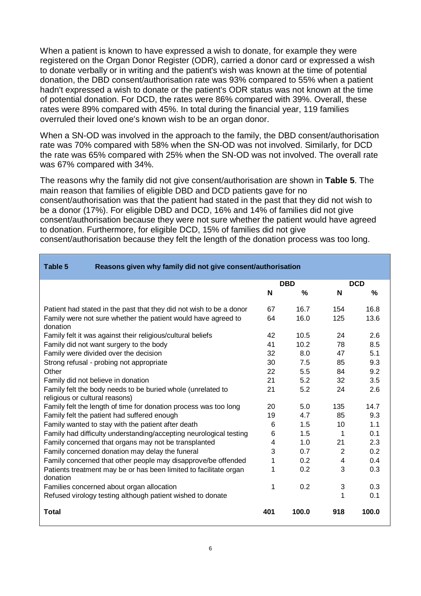When a patient is known to have expressed a wish to donate, for example they were registered on the Organ Donor Register (ODR), carried a donor card or expressed a wish to donate verbally or in writing and the patient's wish was known at the time of potential donation, the DBD consent/authorisation rate was 93% compared to 55% when a patient hadn't expressed a wish to donate or the patient's ODR status was not known at the time of potential donation. For DCD, the rates were 86% compared with 39%. Overall, these rates were 89% compared with 45%. In total during the financial year, 119 families overruled their loved one's known wish to be an organ donor.

When a SN-OD was involved in the approach to the family, the DBD consent/authorisation rate was 70% compared with 58% when the SN-OD was not involved. Similarly, for DCD the rate was 65% compared with 25% when the SN-OD was not involved. The overall rate was 67% compared with 34%.

The reasons why the family did not give consent/authorisation are shown in **Table 5**. The main reason that families of eligible DBD and DCD patients gave for no consent/authorisation was that the patient had stated in the past that they did not wish to be a donor (17%). For eligible DBD and DCD, 16% and 14% of families did not give consent/authorisation because they were not sure whether the patient would have agreed to donation. Furthermore, for eligible DCD, 15% of families did not give consent/authorisation because they felt the length of the donation process was too long.

| Table 5<br>Reasons given why family did not give consent/authorisation                        |     |               |                |            |
|-----------------------------------------------------------------------------------------------|-----|---------------|----------------|------------|
|                                                                                               |     | <b>DBD</b>    |                | <b>DCD</b> |
|                                                                                               | N   | $\frac{0}{0}$ | N              | %          |
| Patient had stated in the past that they did not wish to be a donor                           | 67  | 16.7          | 154            | 16.8       |
| Family were not sure whether the patient would have agreed to<br>donation                     | 64  | 16.0          | 125            | 13.6       |
| Family felt it was against their religious/cultural beliefs                                   | 42  | 10.5          | 24             | 2.6        |
| Family did not want surgery to the body                                                       | 41  | 10.2          | 78             | 8.5        |
| Family were divided over the decision                                                         | 32  | 8.0           | 47             | 5.1        |
| Strong refusal - probing not appropriate                                                      | 30  | 7.5           | 85             | 9.3        |
| Other                                                                                         | 22  | 5.5           | 84             | 9.2        |
| Family did not believe in donation                                                            | 21  | 5.2           | 32             | 3.5        |
| Family felt the body needs to be buried whole (unrelated to<br>religious or cultural reasons) | 21  | 5.2           | 24             | 2.6        |
| Family felt the length of time for donation process was too long                              | 20  | 5.0           | 135            | 14.7       |
| Family felt the patient had suffered enough                                                   | 19  | 4.7           | 85             | 9.3        |
| Family wanted to stay with the patient after death                                            | 6   | 1.5           | 10             | 1.1        |
| Family had difficulty understanding/accepting neurological testing                            | 6   | 1.5           | 1              | 0.1        |
| Family concerned that organs may not be transplanted                                          | 4   | 1.0           | 21             | 2.3        |
| Family concerned donation may delay the funeral                                               | 3   | 0.7           | $\overline{2}$ | 0.2        |
| Family concerned that other people may disapprove/be offended                                 | 1   | 0.2           | 4              | 0.4        |
| Patients treatment may be or has been limited to facilitate organ<br>donation                 | 1   | 0.2           | 3              | 0.3        |
| Families concerned about organ allocation                                                     | 1   | 0.2           | 3              | 0.3        |
| Refused virology testing although patient wished to donate                                    |     |               |                | 0.1        |
| <b>Total</b>                                                                                  | 401 | 100.0         | 918            | 100.0      |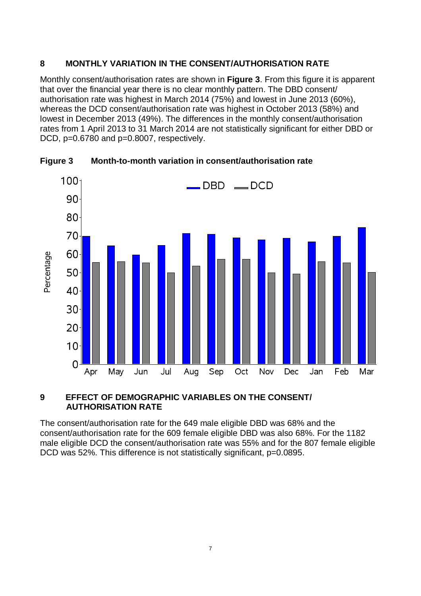## **8 MONTHLY VARIATION IN THE CONSENT/AUTHORISATION RATE**

Monthly consent/authorisation rates are shown in **Figure 3**. From this figure it is apparent that over the financial year there is no clear monthly pattern. The DBD consent/ authorisation rate was highest in March 2014 (75%) and lowest in June 2013 (60%), whereas the DCD consent/authorisation rate was highest in October 2013 (58%) and lowest in December 2013 (49%). The differences in the monthly consent/authorisation rates from 1 April 2013 to 31 March 2014 are not statistically significant for either DBD or DCD, p=0.6780 and p=0.8007, respectively.



**Figure 3 Month-to-month variation in consent/authorisation rate**

## **9 EFFECT OF DEMOGRAPHIC VARIABLES ON THE CONSENT/ AUTHORISATION RATE**

The consent/authorisation rate for the 649 male eligible DBD was 68% and the consent/authorisation rate for the 609 female eligible DBD was also 68%. For the 1182 male eligible DCD the consent/authorisation rate was 55% and for the 807 female eligible DCD was 52%. This difference is not statistically significant, p=0.0895.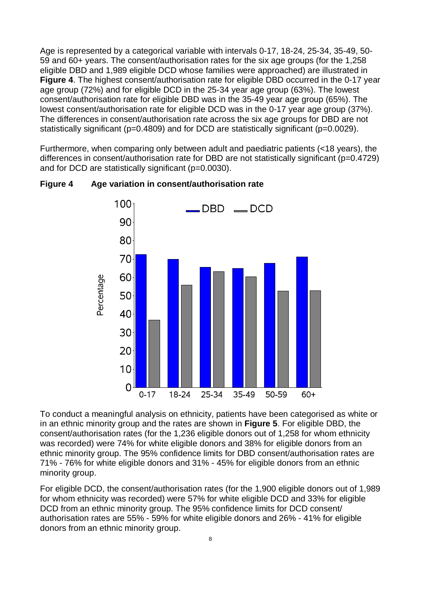Age is represented by a categorical variable with intervals 0-17, 18-24, 25-34, 35-49, 50- 59 and 60+ years. The consent/authorisation rates for the six age groups (for the 1,258 eligible DBD and 1,989 eligible DCD whose families were approached) are illustrated in **Figure 4**. The highest consent/authorisation rate for eligible DBD occurred in the 0-17 year age group (72%) and for eligible DCD in the 25-34 year age group (63%). The lowest consent/authorisation rate for eligible DBD was in the 35-49 year age group (65%). The lowest consent/authorisation rate for eligible DCD was in the 0-17 year age group (37%). The differences in consent/authorisation rate across the six age groups for DBD are not statistically significant (p=0.4809) and for DCD are statistically significant (p=0.0029).

Furthermore, when comparing only between adult and paediatric patients (<18 years), the differences in consent/authorisation rate for DBD are not statistically significant (p=0.4729) and for DCD are statistically significant (p=0.0030).



**Figure 4 Age variation in consent/authorisation rate**

To conduct a meaningful analysis on ethnicity, patients have been categorised as white or in an ethnic minority group and the rates are shown in **Figure 5**. For eligible DBD, the consent/authorisation rates (for the 1,236 eligible donors out of 1,258 for whom ethnicity was recorded) were 74% for white eligible donors and 38% for eligible donors from an ethnic minority group. The 95% confidence limits for DBD consent/authorisation rates are 71% - 76% for white eligible donors and 31% - 45% for eligible donors from an ethnic minority group.

For eligible DCD, the consent/authorisation rates (for the 1,900 eligible donors out of 1,989 for whom ethnicity was recorded) were 57% for white eligible DCD and 33% for eligible DCD from an ethnic minority group. The 95% confidence limits for DCD consent/ authorisation rates are 55% - 59% for white eligible donors and 26% - 41% for eligible donors from an ethnic minority group.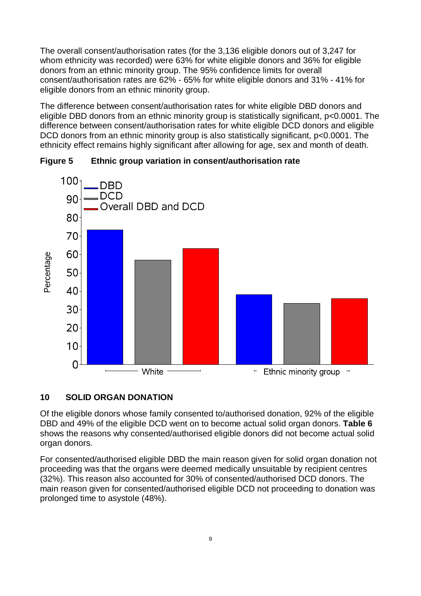The overall consent/authorisation rates (for the 3,136 eligible donors out of 3,247 for whom ethnicity was recorded) were 63% for white eligible donors and 36% for eligible donors from an ethnic minority group. The 95% confidence limits for overall consent/authorisation rates are 62% - 65% for white eligible donors and 31% - 41% for eligible donors from an ethnic minority group.

The difference between consent/authorisation rates for white eligible DBD donors and eligible DBD donors from an ethnic minority group is statistically significant, p<0.0001. The difference between consent/authorisation rates for white eligible DCD donors and eligible DCD donors from an ethnic minority group is also statistically significant, p<0.0001. The ethnicity effect remains highly significant after allowing for age, sex and month of death.



## **Figure 5 Ethnic group variation in consent/authorisation rate**

### **10 SOLID ORGAN DONATION**

Of the eligible donors whose family consented to/authorised donation, 92% of the eligible DBD and 49% of the eligible DCD went on to become actual solid organ donors. **Table 6** shows the reasons why consented/authorised eligible donors did not become actual solid organ donors.

For consented/authorised eligible DBD the main reason given for solid organ donation not proceeding was that the organs were deemed medically unsuitable by recipient centres (32%). This reason also accounted for 30% of consented/authorised DCD donors. The main reason given for consented/authorised eligible DCD not proceeding to donation was prolonged time to asystole (48%).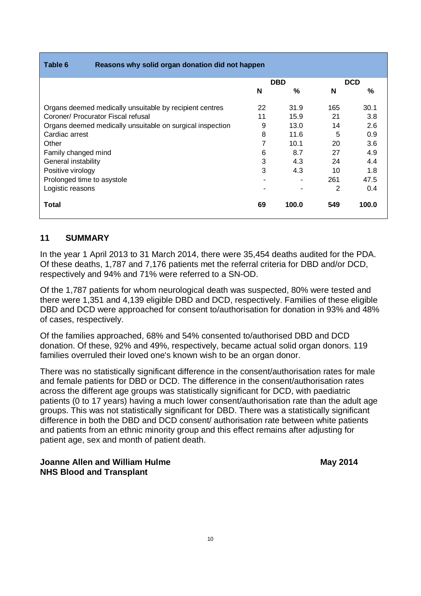| Table 6<br>Reasons why solid organ donation did not happen |    |               |     |            |
|------------------------------------------------------------|----|---------------|-----|------------|
|                                                            |    | <b>DBD</b>    |     | <b>DCD</b> |
|                                                            | N  | $\frac{0}{2}$ | N   | $\%$       |
| Organs deemed medically unsuitable by recipient centres    | 22 | 31.9          | 165 | 30.1       |
| Coroner/ Procurator Fiscal refusal                         | 11 | 15.9          | 21  | 3.8        |
| Organs deemed medically unsuitable on surgical inspection  | 9  | 13.0          | 14  | 2.6        |
| Cardiac arrest                                             | 8  | 11.6          | 5   | 0.9        |
| Other                                                      | 7  | 10.1          | 20  | 3.6        |
| Family changed mind                                        | 6  | 8.7           | 27  | 4.9        |
| General instability                                        | 3  | 4.3           | 24  | 4.4        |
| Positive virology                                          | 3  | 4.3           | 10  | 1.8        |
| Prolonged time to asystole                                 |    |               | 261 | 47.5       |
| Logistic reasons                                           |    |               | 2   | 0.4        |
| Total                                                      | 69 | 100.0         | 549 | 100.0      |

### **11 SUMMARY**

In the year 1 April 2013 to 31 March 2014, there were 35,454 deaths audited for the PDA. Of these deaths, 1,787 and 7,176 patients met the referral criteria for DBD and/or DCD, respectively and 94% and 71% were referred to a SN-OD.

Of the 1,787 patients for whom neurological death was suspected, 80% were tested and there were 1,351 and 4,139 eligible DBD and DCD, respectively. Families of these eligible DBD and DCD were approached for consent to/authorisation for donation in 93% and 48% of cases, respectively.

Of the families approached, 68% and 54% consented to/authorised DBD and DCD donation. Of these, 92% and 49%, respectively, became actual solid organ donors. 119 families overruled their loved one's known wish to be an organ donor.

There was no statistically significant difference in the consent/authorisation rates for male and female patients for DBD or DCD. The difference in the consent/authorisation rates across the different age groups was statistically significant for DCD, with paediatric patients (0 to 17 years) having a much lower consent/authorisation rate than the adult age groups. This was not statistically significant for DBD. There was a statistically significant difference in both the DBD and DCD consent/ authorisation rate between white patients and patients from an ethnic minority group and this effect remains after adjusting for patient age, sex and month of patient death.

### **Joanne Allen and William Hulme May 2014 NHS Blood and Transplant**